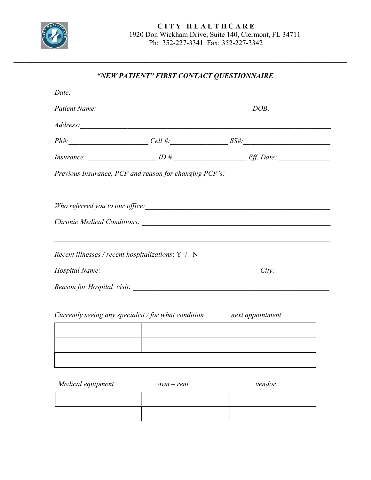

# "NEW PATIENT" FIRST CONTACT QUESTIONNAIRE

| Date: |                                                      |                                                                                                                                                                                                                                           |  |
|-------|------------------------------------------------------|-------------------------------------------------------------------------------------------------------------------------------------------------------------------------------------------------------------------------------------------|--|
|       |                                                      |                                                                                                                                                                                                                                           |  |
|       |                                                      | Address: <u>Address</u> : <u>Address:</u> Annual Communication of the second contract of the second contract of the second contract of the second contract of the second contract of the second contract of the second contract of the se |  |
|       |                                                      | $Ph#$ : $Cell #$ : $SSH$ :                                                                                                                                                                                                                |  |
|       |                                                      | $Insurance: \n\qquad \qquad ID \n\#:\n\qquad \qquad Eff. Date: \n\qquad \qquad$                                                                                                                                                           |  |
|       |                                                      | Previous Insurance, PCP and reason for changing PCP's: _________________________                                                                                                                                                          |  |
|       |                                                      | Who referred you to our office:                                                                                                                                                                                                           |  |
|       |                                                      |                                                                                                                                                                                                                                           |  |
|       | Recent illnesses / recent hospitalizations: Y / N    | <u> 1989 - Johann Stoff, deutscher Stoffen und der Stoffen und der Stoffen und der Stoffen und der Stoffen und de</u>                                                                                                                     |  |
|       |                                                      |                                                                                                                                                                                                                                           |  |
|       |                                                      |                                                                                                                                                                                                                                           |  |
|       | Currently seeing any specialist / for what condition | next appointment                                                                                                                                                                                                                          |  |
|       |                                                      |                                                                                                                                                                                                                                           |  |
|       |                                                      |                                                                                                                                                                                                                                           |  |
|       |                                                      |                                                                                                                                                                                                                                           |  |

| Medical equipment | $own-rent$ | vendor |
|-------------------|------------|--------|
|                   |            |        |
|                   |            |        |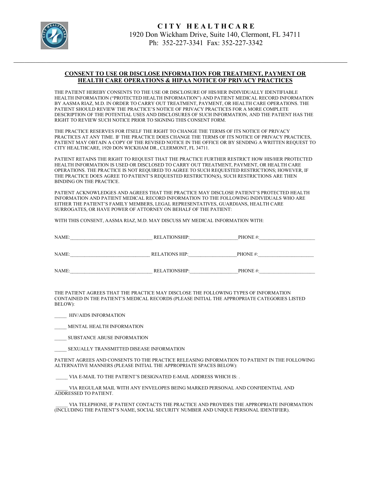

#### CONSENT TO USE OR DISCLOSE INFORMATION FOR TREATMENT, PAYMENT OR HEALTH CARE OPERATIONS & HIPAA NOTICE OF PRIVACY PRACTICES

THE PATIENT HEREBY CONSENTS TO THE USE OR DISCLOSURE OF HIS/HER INDIVIDUALLY IDENTIFIABLE HEALTH INFORMATION ("PROTECTED HEALTH INFORMATION") AND PATIENT MEDICAL RECORD INFORMATION BY AASMA RIAZ, M.D. IN ORDER TO CARRY OUT TREATMENT, PAYMENT, OR HEALTH CARE OPERATIONS. THE PATIENT SHOULD REVIEW THE PRACTICE'S NOTICE OF PRIVACY PRACTICES FOR A MORE COMPLETE DESCRIPTION OF THE POTENTIAL USES AND DISCLOSURES OF SUCH INFORMATION, AND THE PATIENT HAS THE RIGHT TO REVIEW SUCH NOTICE PRIOR TO SIGNING THIS CONSENT FORM.

THE PRACTICE RESERVES FOR ITSELF THE RIGHT TO CHANGE THE TERMS OF ITS NOTICE OF PRIVACY PRACTICES AT ANY TIME. IF THE PRACTICE DOES CHANGE THE TERMS OF ITS NOTICE OF PRIVACY PRACTICES, PATIENT MAY OBTAIN A COPY OF THE REVISED NOTICE IN THE OFFICE OR BY SENDING A WRITTEN REQUEST TO CITY HEALTHCARE, 1920 DON WICKHAM DR., CLERMONT, FL 34711.

PATIENT RETAINS THE RIGHT TO REQUEST THAT THE PRACTICE FURTHER RESTRICT HOW HIS/HER PROTECTED HEALTH INFORMATION IS USED OR DISCLOSED TO CARRY OUT TREATMENT, PAYMENT, OR HEALTH CARE OPERATIONS. THE PRACTICE IS NOT REQUIRED TO AGREE TO SUCH REQUESTED RESTRICTIONS; HOWEVER, IF THE PRACTICE DOES AGREE TO PATIENT'S REQUESTED RESTRICTION(S), SUCH RESTRICTIONS ARE THEN BINDING ON THE PRACTICE.

PATIENT ACKNOWLEDGES AND AGREES THAT THE PRACTICE MAY DISCLOSE PATIENT'S PROTECTED HEALTH INFORMATION AND PATIENT MEDICAL RECORD INFORMATION TO THE FOLLOWING INDIVIDUALS WHO ARE EITHER THE PATIENT'S FAMILY MEMBERS, LEGAL REPRESENTATIVES, GUARDIANS, HEALTH CARE SURROGATES, OR HAVE POWER OF ATTORNEY ON BEHALF OF THE PATIENT:

WITH THIS CONSENT, AASMA RIAZ, M.D. MAY DISCUSS MY MEDICAL INFORMATION WITH:

| <b>NAME</b><br>1 1 L L<br>- - - - - - - - |  |
|-------------------------------------------|--|
|                                           |  |

NAME:\_\_\_\_\_\_\_\_\_\_\_\_\_\_\_\_\_\_\_\_\_\_\_\_\_\_\_\_\_\_\_\_\_ RELATIONS HIP:\_\_\_\_\_\_\_\_\_\_\_\_\_\_\_\_\_\_\_\_PHONE #:\_\_\_\_\_\_\_\_\_\_\_\_\_\_\_\_\_\_\_\_\_\_\_

NAME: THE RELATIONSHIP: THE PHONE #:

THE PATIENT AGREES THAT THE PRACTICE MAY DISCLOSE THE FOLLOWING TYPES OF INFORMATION CONTAINED IN THE PATIENT'S MEDICAL RECORDS (PLEASE INITIAL THE APPROPRIATE CATEGORIES LISTED BELOW):

\_\_\_\_\_ HIV/AIDS INFORMATION

MENTAL HEALTH INFORMATION

\_\_\_\_\_ SUBSTANCE ABUSE INFORMATION

SEXUALLY TRANSMITTED DISEASE INFORMATION

PATIENT AGREES AND CONSENTS TO THE PRACTICE RELEASING INFORMATION TO PATIENT IN THE FOLLOWING ALTERNATIVE MANNERS (PLEASE INITIAL THE APPROPRIATE SPACES BELOW):

VIA E-MAIL TO THE PATIENT'S DESIGNATED E-MAIL ADDRESS WHICH IS: .

VIA REGULAR MAIL WITH ANY ENVELOPES BEING MARKED PERSONAL AND CONFIDENTIAL AND ADDRESSED TO PATIENT.

VIA TELEPHONE, IF PATIENT CONTACTS THE PRACTICE AND PROVIDES THE APPROPRIATE INFORMATION (INCLUDING THE PATIENT'S NAME, SOCIAL SECURITY NUMBER AND UNIQUE PERSONAL IDENTIFIER).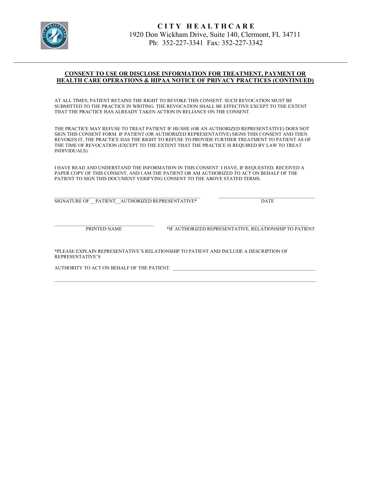

### CONSENT TO USE OR DISCLOSE INFORMATION FOR TREATMENT, PAYMENT OR HEALTH CARE OPERATIONS & HIPAA NOTICE OF PRIVACY PRACTICES (CONTINUED)

AT ALL TIMES, PATIENT RETAINS THE RIGHT TO REVOKE THIS CONSENT. SUCH REVOCATION MUST BE SUBMITTED TO THE PRACTICE IN WRITING. THE REVOCATION SHALL BE EFFECTIVE EXCEPT TO THE EXTENT THAT THE PRACTICE HAS ALREADY TAKEN ACTION IN RELIANCE ON THE CONSENT.

THE PRACTICE MAY REFUSE TO TREAT PATIENT IF HE/SHE (OR AN AUTHORIZED REPRESENTATIVE) DOES NOT SIGN THIS CONSENT FORM. IF PATIENT (OR AUTHORIZED REPRESENTATIVE) SIGNS THIS CONSENT AND THEN REVOKES IT, THE PRACTICE HAS THE RIGHT TO REFUSE TO PROVIDE FURTHER TREATMENT TO PATIENT AS OF THE TIME OF REVOCATION (EXCEPT TO THE EXTENT THAT THE PRACTICE IS REQUIRED BY LAW TO TREAT INDIVIDUALS).

I HAVE READ AND UNDERSTAND THE INFORMATION IN THIS CONSENT. I HAVE, IF REQUESTED, RECEIVED A PAPER COPY OF THIS CONSENT, AND I AM THE PATIENT OR AM AUTHORIZED TO ACT ON BEHALF OF THE PATIENT TO SIGN THIS DOCUMENT VERIFYING CONSENT TO THE ABOVE STATED TERMS.

SIGNATURE OF \_\_PATIENT \_\_AUTHORIZED REPRESENTATIVE\*  $\qquad \qquad$  DATE

PRINTED NAME **\*IF AUTHORIZED REPRESENTATIVE, RELATIONSHIP TO PATIENT** 

\*PLEASE EXPLAIN REPRESENTATIVE'S RELATIONSHIP TO PATIENT AND INCLUDE A DESCRIPTION OF REPRESENTATIVE'S

AUTHORITY TO ACT ON BEHALF OF THE PATIENT: